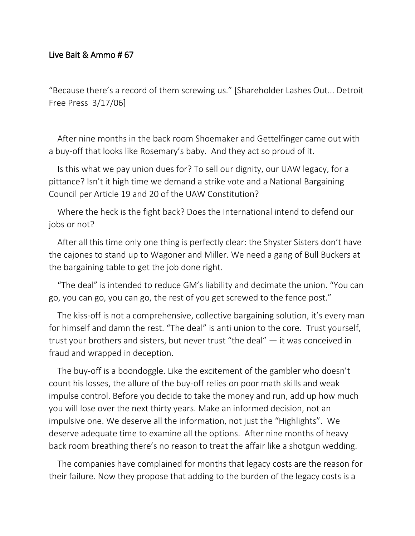## Live Bait & Ammo # 67

"Because there's a record of them screwing us." [Shareholder Lashes Out... Detroit Free Press 3/17/06]

After nine months in the back room Shoemaker and Gettelfinger came out with a buy-off that looks like Rosemary's baby. And they act so proud of it.

Is this what we pay union dues for? To sell our dignity, our UAW legacy, for a pittance? Isn't it high time we demand a strike vote and a National Bargaining Council per Article 19 and 20 of the UAW Constitution?

Where the heck is the fight back? Does the International intend to defend our jobs or not?

After all this time only one thing is perfectly clear: the Shyster Sisters don't have the cajones to stand up to Wagoner and Miller. We need a gang of Bull Buckers at the bargaining table to get the job done right.

"The deal" is intended to reduce GM's liability and decimate the union. "You can go, you can go, you can go, the rest of you get screwed to the fence post."

The kiss-off is not a comprehensive, collective bargaining solution, it's every man for himself and damn the rest. "The deal" is anti union to the core. Trust yourself, trust your brothers and sisters, but never trust "the deal" — it was conceived in fraud and wrapped in deception.

The buy-off is a boondoggle. Like the excitement of the gambler who doesn't count his losses, the allure of the buy-off relies on poor math skills and weak impulse control. Before you decide to take the money and run, add up how much you will lose over the next thirty years. Make an informed decision, not an impulsive one. We deserve all the information, not just the "Highlights". We deserve adequate time to examine all the options. After nine months of heavy back room breathing there's no reason to treat the affair like a shotgun wedding.

The companies have complained for months that legacy costs are the reason for their failure. Now they propose that adding to the burden of the legacy costs is a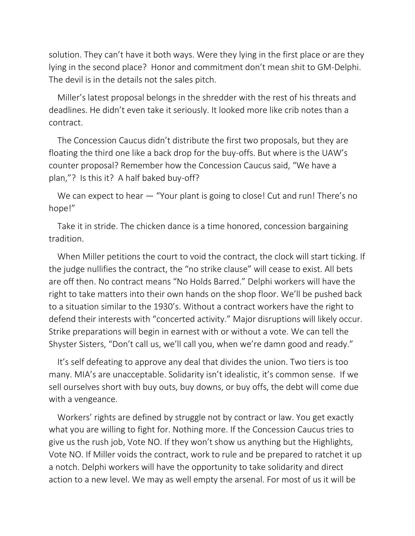solution. They can't have it both ways. Were they lying in the first place or are they lying in the second place? Honor and commitment don't mean shit to GM-Delphi. The devil is in the details not the sales pitch.

Miller's latest proposal belongs in the shredder with the rest of his threats and deadlines. He didn't even take it seriously. It looked more like crib notes than a contract.

The Concession Caucus didn't distribute the first two proposals, but they are floating the third one like a back drop for the buy-offs. But where is the UAW's counter proposal? Remember how the Concession Caucus said, "We have a plan,"? Is this it? A half baked buy-off?

We can expect to hear — "Your plant is going to close! Cut and run! There's no hope!"

Take it in stride. The chicken dance is a time honored, concession bargaining tradition.

When Miller petitions the court to void the contract, the clock will start ticking. If the judge nullifies the contract, the "no strike clause" will cease to exist. All bets are off then. No contract means "No Holds Barred." Delphi workers will have the right to take matters into their own hands on the shop floor. We'll be pushed back to a situation similar to the 1930's. Without a contract workers have the right to defend their interests with "concerted activity." Major disruptions will likely occur. Strike preparations will begin in earnest with or without a vote. We can tell the Shyster Sisters, "Don't call us, we'll call you, when we're damn good and ready."

It's self defeating to approve any deal that divides the union. Two tiers is too many. MIA's are unacceptable. Solidarity isn't idealistic, it's common sense. If we sell ourselves short with buy outs, buy downs, or buy offs, the debt will come due with a vengeance.

Workers' rights are defined by struggle not by contract or law. You get exactly what you are willing to fight for. Nothing more. If the Concession Caucus tries to give us the rush job, Vote NO. If they won't show us anything but the Highlights, Vote NO. If Miller voids the contract, work to rule and be prepared to ratchet it up a notch. Delphi workers will have the opportunity to take solidarity and direct action to a new level. We may as well empty the arsenal. For most of us it will be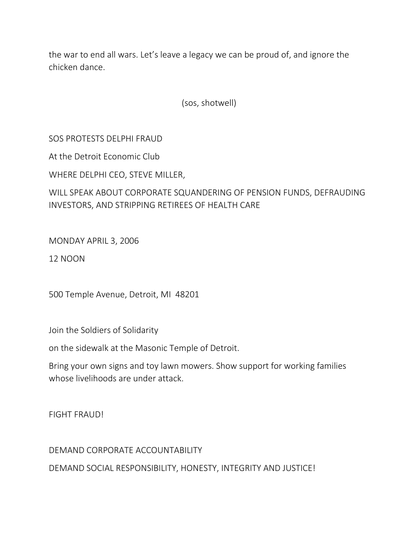the war to end all wars. Let's leave a legacy we can be proud of, and ignore the chicken dance.

(sos, shotwell)

SOS PROTESTS DELPHI FRAUD

At the Detroit Economic Club

WHERE DELPHI CEO, STEVE MILLER,

WILL SPEAK ABOUT CORPORATE SQUANDERING OF PENSION FUNDS, DEFRAUDING INVESTORS, AND STRIPPING RETIREES OF HEALTH CARE

MONDAY APRIL 3, 2006

12 NOON

500 Temple Avenue, Detroit, MI 48201

Join the Soldiers of Solidarity

on the sidewalk at the Masonic Temple of Detroit.

Bring your own signs and toy lawn mowers. Show support for working families whose livelihoods are under attack.

FIGHT FRAUD!

DEMAND CORPORATE ACCOUNTABILITY DEMAND SOCIAL RESPONSIBILITY, HONESTY, INTEGRITY AND JUSTICE!